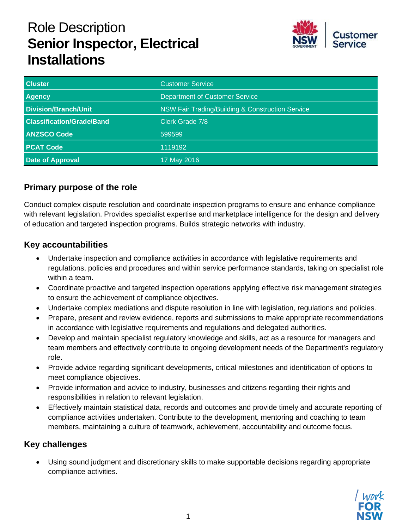# Role Description **Senior Inspector, Electrical Installations**



| <b>Cluster</b>                   | <b>Customer Service</b>                          |  |
|----------------------------------|--------------------------------------------------|--|
| <b>Agency</b>                    | <b>Department of Customer Service</b>            |  |
| <b>Division/Branch/Unit</b>      | NSW Fair Trading/Building & Construction Service |  |
| <b>Classification/Grade/Band</b> | Clerk Grade 7/8                                  |  |
| <b>ANZSCO Code</b>               | 599599                                           |  |
| <b>PCAT Code</b>                 | 1119192                                          |  |
| <b>Date of Approval</b>          | 17 May 2016                                      |  |

## **Primary purpose of the role**

Conduct complex dispute resolution and coordinate inspection programs to ensure and enhance compliance with relevant legislation. Provides specialist expertise and marketplace intelligence for the design and delivery of education and targeted inspection programs. Builds strategic networks with industry.

## **Key accountabilities**

- Undertake inspection and compliance activities in accordance with legislative requirements and regulations, policies and procedures and within service performance standards, taking on specialist role within a team.
- Coordinate proactive and targeted inspection operations applying effective risk management strategies to ensure the achievement of compliance objectives.
- Undertake complex mediations and dispute resolution in line with legislation, regulations and policies.
- Prepare, present and review evidence, reports and submissions to make appropriate recommendations in accordance with legislative requirements and regulations and delegated authorities.
- Develop and maintain specialist regulatory knowledge and skills, act as a resource for managers and team members and effectively contribute to ongoing development needs of the Department's regulatory role.
- Provide advice regarding significant developments, critical milestones and identification of options to meet compliance objectives.
- Provide information and advice to industry, businesses and citizens regarding their rights and responsibilities in relation to relevant legislation.
- Effectively maintain statistical data, records and outcomes and provide timely and accurate reporting of compliance activities undertaken. Contribute to the development, mentoring and coaching to team members, maintaining a culture of teamwork, achievement, accountability and outcome focus.

# **Key challenges**

• Using sound judgment and discretionary skills to make supportable decisions regarding appropriate compliance activities.

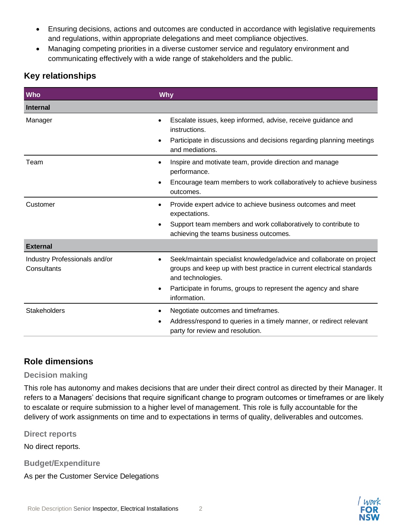- Ensuring decisions, actions and outcomes are conducted in accordance with legislative requirements and regulations, within appropriate delegations and meet compliance objectives.
- Managing competing priorities in a diverse customer service and regulatory environment and communicating effectively with a wide range of stakeholders and the public.

# **Key relationships**

| <b>Who</b>                                   | Why                                                                                                                                                                                                                                                                |  |
|----------------------------------------------|--------------------------------------------------------------------------------------------------------------------------------------------------------------------------------------------------------------------------------------------------------------------|--|
| <b>Internal</b>                              |                                                                                                                                                                                                                                                                    |  |
| Manager                                      | Escalate issues, keep informed, advise, receive guidance and<br>instructions.<br>Participate in discussions and decisions regarding planning meetings<br>$\bullet$<br>and mediations.                                                                              |  |
| Team                                         | Inspire and motivate team, provide direction and manage<br>$\bullet$<br>performance.<br>Encourage team members to work collaboratively to achieve business<br>outcomes.                                                                                            |  |
| Customer                                     | Provide expert advice to achieve business outcomes and meet<br>٠<br>expectations.<br>Support team members and work collaboratively to contribute to<br>٠<br>achieving the teams business outcomes.                                                                 |  |
| <b>External</b>                              |                                                                                                                                                                                                                                                                    |  |
| Industry Professionals and/or<br>Consultants | Seek/maintain specialist knowledge/advice and collaborate on project<br>groups and keep up with best practice in current electrical standards<br>and technologies.<br>Participate in forums, groups to represent the agency and share<br>$\bullet$<br>information. |  |
| <b>Stakeholders</b>                          | Negotiate outcomes and timeframes.<br>٠<br>Address/respond to queries in a timely manner, or redirect relevant<br>party for review and resolution.                                                                                                                 |  |

## **Role dimensions**

#### **Decision making**

This role has autonomy and makes decisions that are under their direct control as directed by their Manager. It refers to a Managers' decisions that require significant change to program outcomes or timeframes or are likely to escalate or require submission to a higher level of management. This role is fully accountable for the delivery of work assignments on time and to expectations in terms of quality, deliverables and outcomes.

**Direct reports**

No direct reports.

**Budget/Expenditure**

As per the Customer Service Delegations

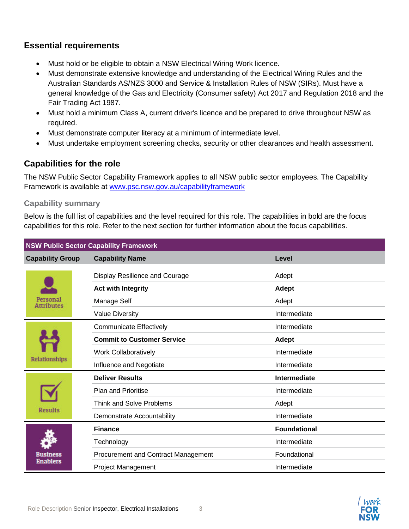## **Essential requirements**

- Must hold or be eligible to obtain a NSW Electrical Wiring Work licence.
- Must demonstrate extensive knowledge and understanding of the Electrical Wiring Rules and the Australian Standards AS/NZS 3000 and Service & Installation Rules of NSW (SIRs). Must have a general knowledge of the Gas and Electricity (Consumer safety) Act 2017 and Regulation 2018 and the Fair Trading Act 1987.
- Must hold a minimum Class A, current driver's licence and be prepared to drive throughout NSW as required.
- Must demonstrate computer literacy at a minimum of intermediate level.
- Must undertake employment screening checks, security or other clearances and health assessment.

# **Capabilities for the role**

The NSW Public Sector Capability Framework applies to all NSW public sector employees. The Capability Framework is available at [www.psc.nsw.gov.au/capabilityframework](http://www.psc.nsw.gov.au/capabilityframework)

## **Capability summary**

Below is the full list of capabilities and the level required for this role. The capabilities in bold are the focus capabilities for this role. Refer to the next section for further information about the focus capabilities.

| <b>NSW Public Sector Capability Framework</b> |                                     |                     |  |
|-----------------------------------------------|-------------------------------------|---------------------|--|
| <b>Capability Group</b>                       | <b>Capability Name</b>              | Level               |  |
| ersonal<br><b>Attributes</b>                  | Display Resilience and Courage      | Adept               |  |
|                                               | <b>Act with Integrity</b>           | Adept               |  |
|                                               | Manage Self                         | Adept               |  |
|                                               | <b>Value Diversity</b>              | Intermediate        |  |
| Relationships                                 | <b>Communicate Effectively</b>      | Intermediate        |  |
|                                               | <b>Commit to Customer Service</b>   | <b>Adept</b>        |  |
|                                               | <b>Work Collaboratively</b>         | Intermediate        |  |
|                                               | Influence and Negotiate             | Intermediate        |  |
| Results                                       | <b>Deliver Results</b>              | Intermediate        |  |
|                                               | Plan and Prioritise                 | Intermediate        |  |
|                                               | <b>Think and Solve Problems</b>     | Adept               |  |
|                                               | Demonstrate Accountability          | Intermediate        |  |
| msiness<br><b>Enablers</b>                    | <b>Finance</b>                      | <b>Foundational</b> |  |
|                                               | Technology                          | Intermediate        |  |
|                                               | Procurement and Contract Management | Foundational        |  |
|                                               | <b>Project Management</b>           | Intermediate        |  |